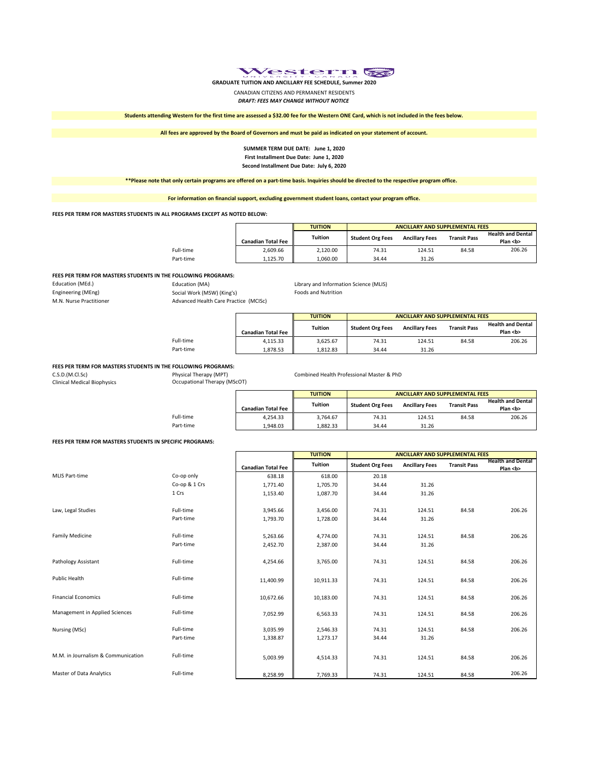

**GRADUATE TUITION AND ANCILLARY FEE SCHEDULE, Summer 2020**

CANADIAN CITIZENS AND PERMANENT RESIDENTS

*DRAFT: FEES MAY CHANGE WITHOUT NOTICE*

**Students attending Western for the first time are assessed a \$32.00 fee for the Western ONE Card, which is not included in the fees below.**

**All fees are approved by the Board of Governors and must be paid as indicated on your statement of account.**

#### **SUMMER TERM DUE DATE: June 1, 2020 First Installment Due Date: June 1, 2020 Second Installment Due Date: July 6, 2020**

**\*\*Please note that only certain programs are offered on a part-time basis. Inquiries should be directed to the respective program office.** 

**For information on financial support, excluding government student loans, contact your program office.**

#### **FEES PER TERM FOR MASTERS STUDENTS IN ALL PROGRAMS EXCEPT AS NOTED BELOW:**

|           |                           | <b>TUITION</b> |                         | <b>ANCILLARY AND SUPPLEMENTAL FEES</b> |                     |                                          |  |  |  |
|-----------|---------------------------|----------------|-------------------------|----------------------------------------|---------------------|------------------------------------------|--|--|--|
|           | <b>Canadian Total Fee</b> | <b>Tuition</b> | <b>Student Org Fees</b> | <b>Ancillary Fees</b>                  | <b>Transit Pass</b> | <b>Health and Dental</b><br>Plan <b></b> |  |  |  |
| Full-time | 2.609.66                  | 2.120.00       | 74.31                   | 124.51                                 | 84.58               | 206.26                                   |  |  |  |
| Part-time | 1.125.70                  | 1.060.00       | 34.44                   | 31.26                                  |                     |                                          |  |  |  |

# **FEES PER TERM FOR MASTERS STUDENTS IN THE FOLLOWING PROGRAMS:**<br>Education (MA) **Education**

Social Work (MSW) (King's) M.N. Nurse Practitioner **Advanced Health Care Practice (MCISc)** 

Education (MEd.)<br>
Education (MEd.) Engineering (MEng)<br>
Engineering (MEng)<br>
Social Work (MSW) (King's) Foods and Nutrition

|           |                           | <b>TUITION</b> | ANCILLARY AND SUPPLEMENTAL FEES |                       |                     |                                          |  |  |  |
|-----------|---------------------------|----------------|---------------------------------|-----------------------|---------------------|------------------------------------------|--|--|--|
|           | <b>Canadian Total Fee</b> | <b>Tuition</b> | <b>Student Org Fees</b>         | <b>Ancillary Fees</b> | <b>Transit Pass</b> | <b>Health and Dental</b><br>Plan <b></b> |  |  |  |
| Full-time | 4.115.33                  | 3.625.67       | 74.31                           | 124.51                | 84.58               | 206.26                                   |  |  |  |
| Part-time | 1.878.53                  | 1.812.83       | 34.44                           | 31.26                 |                     |                                          |  |  |  |

# **FEES PER TERM FOR MASTERS STUDENTS IN THE FOLLOWING PROGRAMS:**

C.S.D.(M.Cl.Sc) Physical Therapy (MPT) Combined Health Professional Master & PhD Clinical Medical Biophysics Occupational Therapy (MScOT)

|           |                           | <b>TUITION</b> |                         | ANCILLARY AND SUPPLEMENTAL FEES |                     |                          |  |
|-----------|---------------------------|----------------|-------------------------|---------------------------------|---------------------|--------------------------|--|
|           |                           | <b>Tuition</b> | <b>Student Org Fees</b> | <b>Ancillary Fees</b>           | <b>Transit Pass</b> | <b>Health and Dental</b> |  |
|           | <b>Canadian Total Fee</b> |                |                         |                                 |                     | Plan <b></b>             |  |
| Full-time | 4.254.33                  | 3.764.67       | 74.31                   | 124.51                          | 84.58               | 206.26                   |  |
| Part-time | 1.948.03                  | 1.882.33       | 34.44                   | 31.26                           |                     |                          |  |

#### **FEES PER TERM FOR MASTERS STUDENTS IN SPECIFIC PROGRAMS:**

|                                    |               |                           | <b>TUITION</b> | <b>ANCILLARY AND SUPPLEMENTAL FEES</b> |                       |                     |                                          |
|------------------------------------|---------------|---------------------------|----------------|----------------------------------------|-----------------------|---------------------|------------------------------------------|
|                                    |               | <b>Canadian Total Fee</b> | <b>Tuition</b> | <b>Student Org Fees</b>                | <b>Ancillary Fees</b> | <b>Transit Pass</b> | <b>Health and Dental</b><br>Plan <b></b> |
| <b>MLIS Part-time</b>              | Co-op only    | 638.18                    | 618.00         | 20.18                                  |                       |                     |                                          |
|                                    | Co-op & 1 Crs | 1,771.40                  | 1,705.70       | 34.44                                  | 31.26                 |                     |                                          |
|                                    | 1 Crs         | 1,153.40                  | 1,087.70       | 34.44                                  | 31.26                 |                     |                                          |
| Law, Legal Studies                 | Full-time     | 3,945.66                  | 3,456.00       | 74.31                                  | 124.51                | 84.58               | 206.26                                   |
|                                    | Part-time     | 1,793.70                  | 1,728.00       | 34.44                                  | 31.26                 |                     |                                          |
| <b>Family Medicine</b>             | Full-time     | 5,263.66                  | 4,774.00       | 74.31                                  | 124.51                | 84.58               | 206.26                                   |
|                                    | Part-time     | 2,452.70                  | 2,387.00       | 34.44                                  | 31.26                 |                     |                                          |
| Pathology Assistant                | Full-time     | 4,254.66                  | 3,765.00       | 74.31                                  | 124.51                | 84.58               | 206.26                                   |
| <b>Public Health</b>               | Full-time     | 11,400.99                 | 10,911.33      | 74.31                                  | 124.51                | 84.58               | 206.26                                   |
| <b>Financial Economics</b>         | Full-time     | 10,672.66                 | 10,183.00      | 74.31                                  | 124.51                | 84.58               | 206.26                                   |
| Management in Applied Sciences     | Full-time     | 7,052.99                  | 6,563.33       | 74.31                                  | 124.51                | 84.58               | 206.26                                   |
| Nursing (MSc)                      | Full-time     | 3,035.99                  | 2,546.33       | 74.31                                  | 124.51                | 84.58               | 206.26                                   |
|                                    | Part-time     | 1,338.87                  | 1,273.17       | 34.44                                  | 31.26                 |                     |                                          |
| M.M. in Journalism & Communication | Full-time     | 5,003.99                  | 4,514.33       | 74.31                                  | 124.51                | 84.58               | 206.26                                   |
| Master of Data Analytics           | Full-time     | 8,258.99                  | 7,769.33       | 74.31                                  | 124.51                | 84.58               | 206.26                                   |